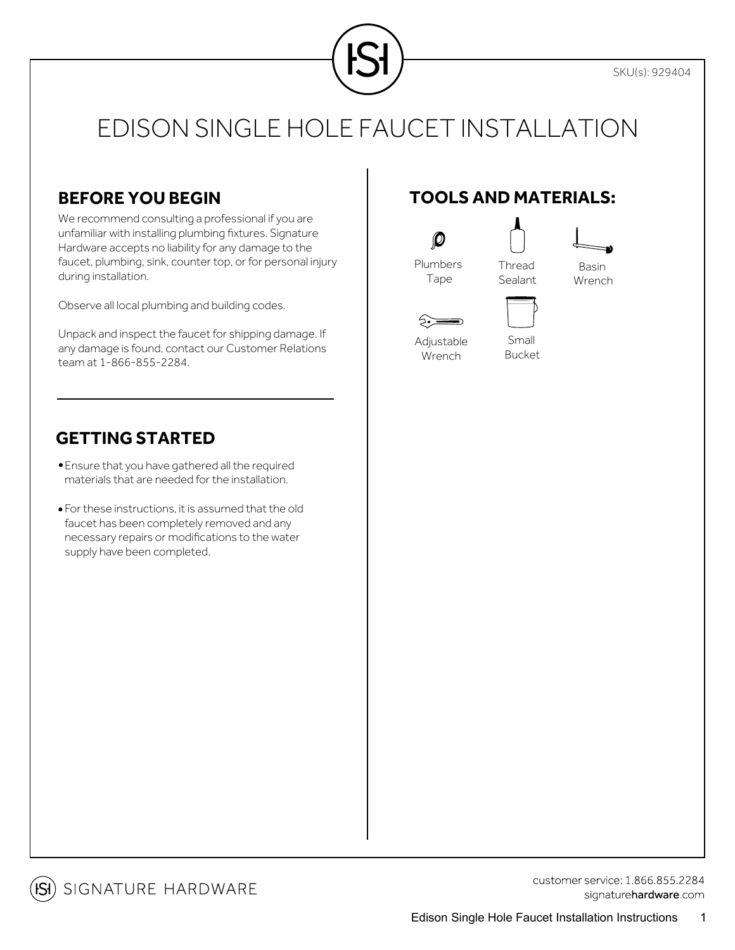

### **BEFORE YOU BEGIN**

We recommend consulting a professional if you are unfamiliar with installing plumbing fixtures. Signature Hardware accepts no liability for any damage to the faucet, plumbing, sink, counter top, or for personal injury during installation.

Observe all local plumbing and building codes.

Unpack and inspect the faucet for shipping damage. If any damage is found, contact our Customer Relations team at 1-866-855-2284.

### **GETTING STARTED**

- Ensure that you have gathered all the required materials that are needed for the installation.
- For these instructions, it is assumed that the old faucet has been completely removed and any necessary repairs or modifications to the water supply have been completed.

### **TOOLS AND MATERIALS:**



Basin Wrench

ं∙े Adjustable Wrench

Small Bucket



customer service: 1 866 855 2284 signaturehardware.com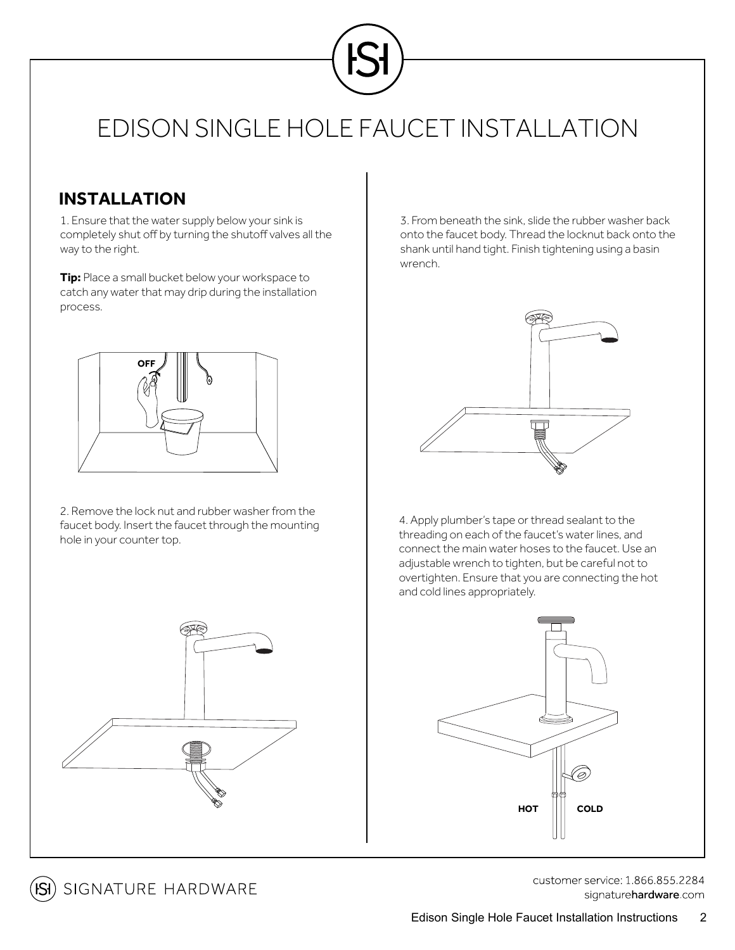

#### **INSTALLATION**

1. Ensure that the water supply below your sink is completely shut off by turning the shutoff valves all the way to the right.

**Tip:** Place a small bucket below your workspace to catch any water that may drip during the installation process.



2. Remove the lock nut and rubber washer from the faucet body. Insert the faucet through the mounting hole in your counter top.

3. From beneath the sink, slide the rubber washer back onto the faucet body. Thread the locknut back onto the shank until hand tight. Finish tightening using a basin wrench.



4. Apply plumber's tape or thread sealant to the threading on each of the faucet's water lines, and connect the main water hoses to the faucet. Use an adjustable wrench to tighten, but be careful not to overtighten. Ensure that you are connecting the hot and cold lines appropriately.



**ISI**) SIGNATURE HARDWARE

customer service: 1.866.855.2284 signaturehardware com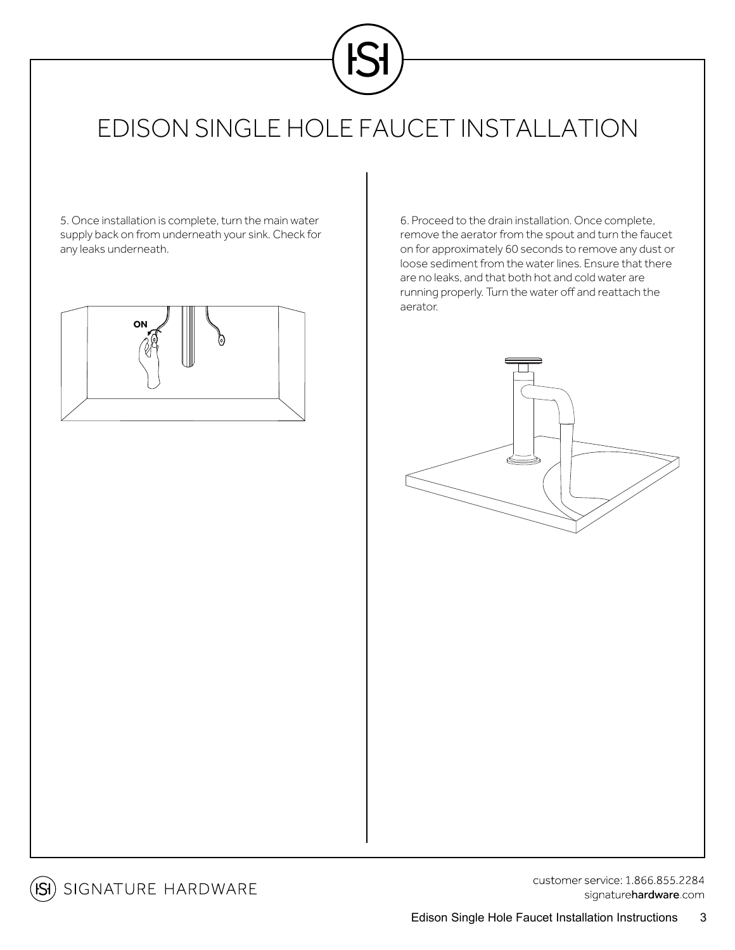

5. Once installation is complete, turn the main water supply back on from underneath your sink. Check for any leaks underneath.



6. Proceed to the drain installation. Once complete, remove the aerator from the spout and turn the faucet on for approximately 60 seconds to remove any dust or loose sediment from the water lines. Ensure that there are no leaks, and that both hot and cold water are running properly. Turn the water off and reattach the aerator.





customer service: 1.866.855.2284 signaturehardware.com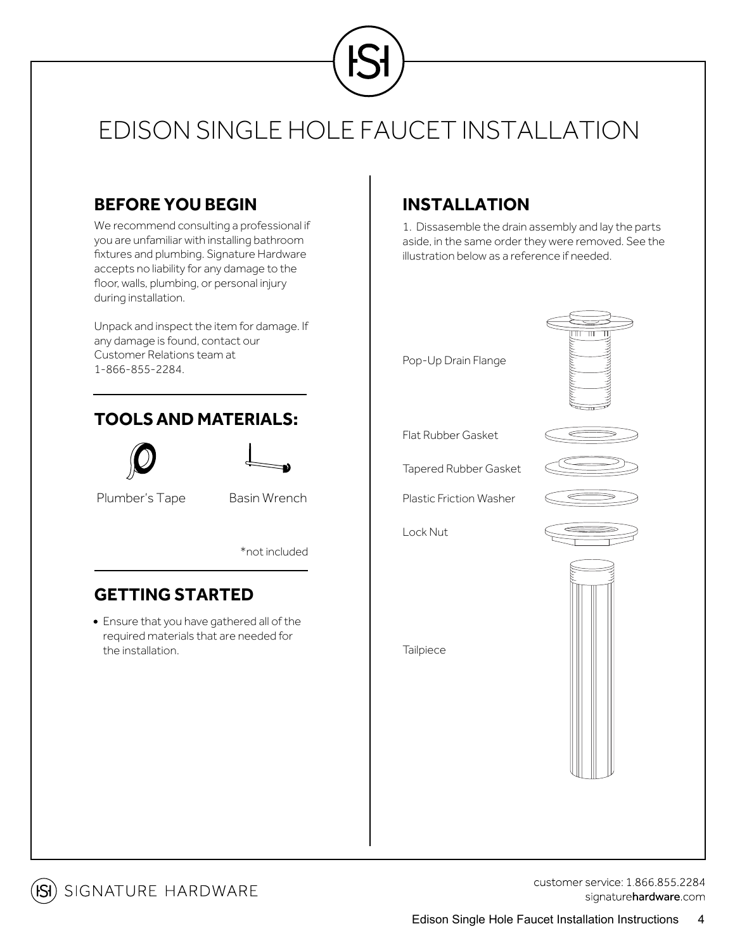

#### **BEFORE YOU BEGIN**

We recommend consulting a professional if you are unfamiliar with installing bathroom fixtures and plumbing. Signature Hardware accepts no liability for any damage to the floor, walls, plumbing, or personal injury during installation.

Unpack and inspect the item for damage. If any damage is found, contact our Customer Relations team at 1-866-855-2284.

### **TOOLSAND MATERIALS:**





Plumber's Tape Basin Wrench

\*not included

### **GETTING STARTED**

Ensure that you have gathered all of the required materials that are needed for the installation.

### **INSTALLATION**

1. Dissasemble the drain assembly and lay the parts aside, in the same order they were removed. See the illustration below as a reference if needed.





customer service: 1 866 855 2284 signaturehardware.com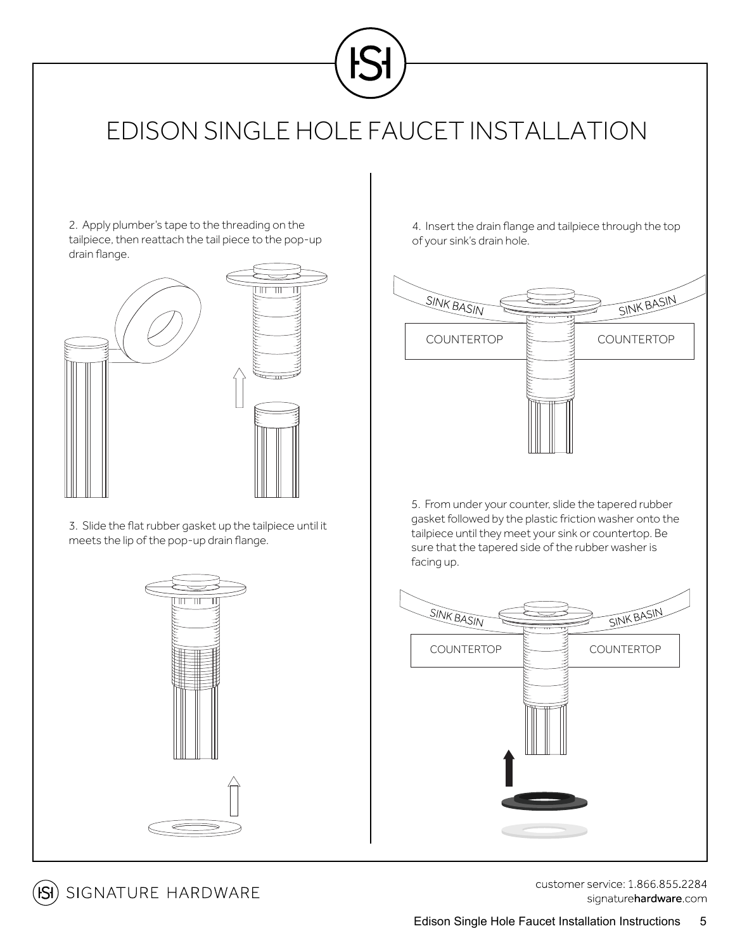

2. Apply plumber's tape to the threading on the tailpiece, then reattach the tail piece to the pop-up drain flange.



3. Slide the flat rubber gasket up the tailpiece until it meets the lip of the pop-up drain flange.



4. Insert the drain flange and tailpiece through the top of your sink's drain hole.



5. From under your counter, slide the tapered rubber gasket followed by the plastic friction washer onto the tailpiece until they meet your sink or countertop. Be sure that the tapered side of the rubber washer is facing up.



[SI] SIGNATURE HARDWARE

customer service: 1.866.855.2284 signaturehardware.com